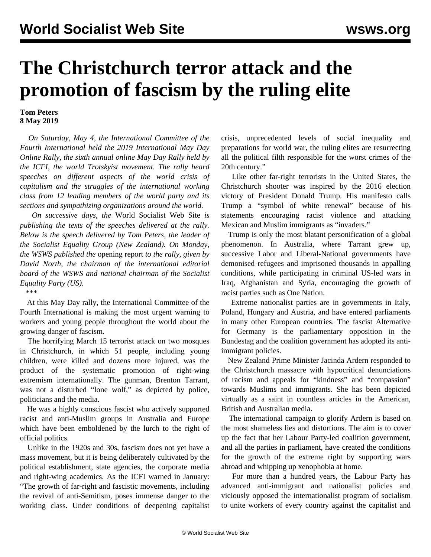## **The Christchurch terror attack and the promotion of fascism by the ruling elite**

## **Tom Peters 8 May 2019**

 *On Saturday, May 4, the International Committee of the Fourth International held the 2019 International May Day Online Rally, the sixth annual online May Day Rally held by the ICFI, the world Trotskyist movement. The rally heard speeches on different aspects of the world crisis of capitalism and the struggles of the international working class from 12 leading members of the world party and its sections and sympathizing organizations around the world.*

 *On successive days, the* World Socialist Web Site *is publishing the texts of the speeches delivered at the rally. Below is the speech delivered by Tom Peters, the leader of the Socialist Equality Group (New Zealand). On Monday, the WSWS published the* [opening report](/en/articles/2019/05/06/nort-m06.html) *to the rally, given by David North, the chairman of the international editorial board of the WSWS and national chairman of the Socialist Equality Party (US).*

\*\*\*

 At this May Day rally, the International Committee of the Fourth International is making the most urgent warning to workers and young people throughout the world about the growing danger of fascism.

 The horrifying March 15 terrorist attack on two mosques in Christchurch, in which 51 people, including young children, were killed and dozens more injured, was the product of the systematic promotion of right-wing extremism internationally. The gunman, Brenton Tarrant, was not a disturbed "lone wolf," as depicted by police, politicians and the media.

 He was a highly conscious fascist who actively supported racist and anti-Muslim groups in Australia and Europe which have been emboldened by the lurch to the right of official politics.

 Unlike in the 1920s and 30s, fascism does not yet have a mass movement, but it is being deliberately cultivated by the political establishment, state agencies, the corporate media and right-wing academics. As the ICFI warned in January: "The growth of far-right and fascistic movements, including the revival of anti-Semitism, poses immense danger to the working class. Under conditions of deepening capitalist crisis, unprecedented levels of social inequality and preparations for world war, the ruling elites are resurrecting all the political filth responsible for the worst crimes of the 20th century."

 Like other far-right terrorists in the United States, the Christchurch shooter was inspired by the 2016 election victory of President Donald Trump. His manifesto calls Trump a "symbol of white renewal" because of his statements encouraging racist violence and attacking Mexican and Muslim immigrants as "invaders."

 Trump is only the most blatant personification of a global phenomenon. In Australia, where Tarrant grew up, successive Labor and Liberal-National governments have demonised refugees and imprisoned thousands in appalling conditions, while participating in criminal US-led wars in Iraq, Afghanistan and Syria, encouraging the growth of racist parties such as One Nation.

 Extreme nationalist parties are in governments in Italy, Poland, Hungary and Austria, and have entered parliaments in many other European countries. The fascist Alternative for Germany is the parliamentary opposition in the Bundestag and the coalition government has adopted its antiimmigrant policies.

 New Zealand Prime Minister Jacinda Ardern responded to the Christchurch massacre with hypocritical denunciations of racism and appeals for "kindness" and "compassion" towards Muslims and immigrants. She has been depicted virtually as a saint in countless articles in the American, British and Australian media.

 The international campaign to glorify Ardern is based on the most shameless lies and distortions. The aim is to cover up the fact that her Labour Party-led coalition government, and all the parties in parliament, have created the conditions for the growth of the extreme right by supporting wars abroad and whipping up xenophobia at home.

 For more than a hundred years, the Labour Party has advanced anti-immigrant and nationalist policies and viciously opposed the internationalist program of socialism to unite workers of every country against the capitalist and